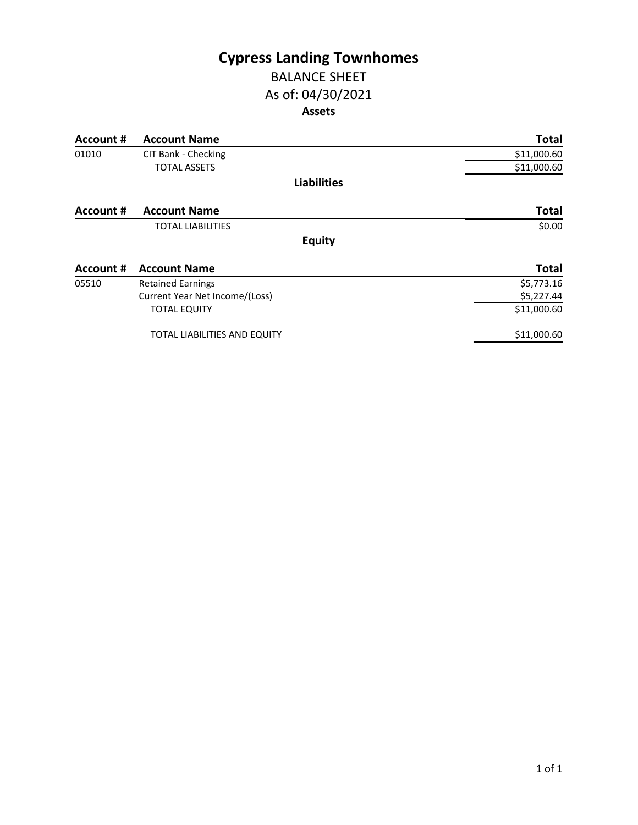# **Cypress Landing Townhomes** BALANCE SHEET

# As of: 04/30/2021

### **Assets**

| Account # | <b>Account Name</b>                 | <b>Total</b> |
|-----------|-------------------------------------|--------------|
| 01010     | CIT Bank - Checking                 | \$11,000.60  |
|           | <b>TOTAL ASSETS</b>                 | \$11,000.60  |
|           | <b>Liabilities</b>                  |              |
| Account # | <b>Account Name</b>                 | <b>Total</b> |
|           | <b>TOTAL LIABILITIES</b>            | \$0.00       |
|           | <b>Equity</b>                       |              |
| Account # | <b>Account Name</b>                 | <b>Total</b> |
| 05510     | <b>Retained Earnings</b>            | \$5,773.16   |
|           | Current Year Net Income/(Loss)      | \$5,227.44   |
|           | <b>TOTAL EQUITY</b>                 | \$11,000.60  |
|           | <b>TOTAL LIABILITIES AND EQUITY</b> | \$11,000.60  |